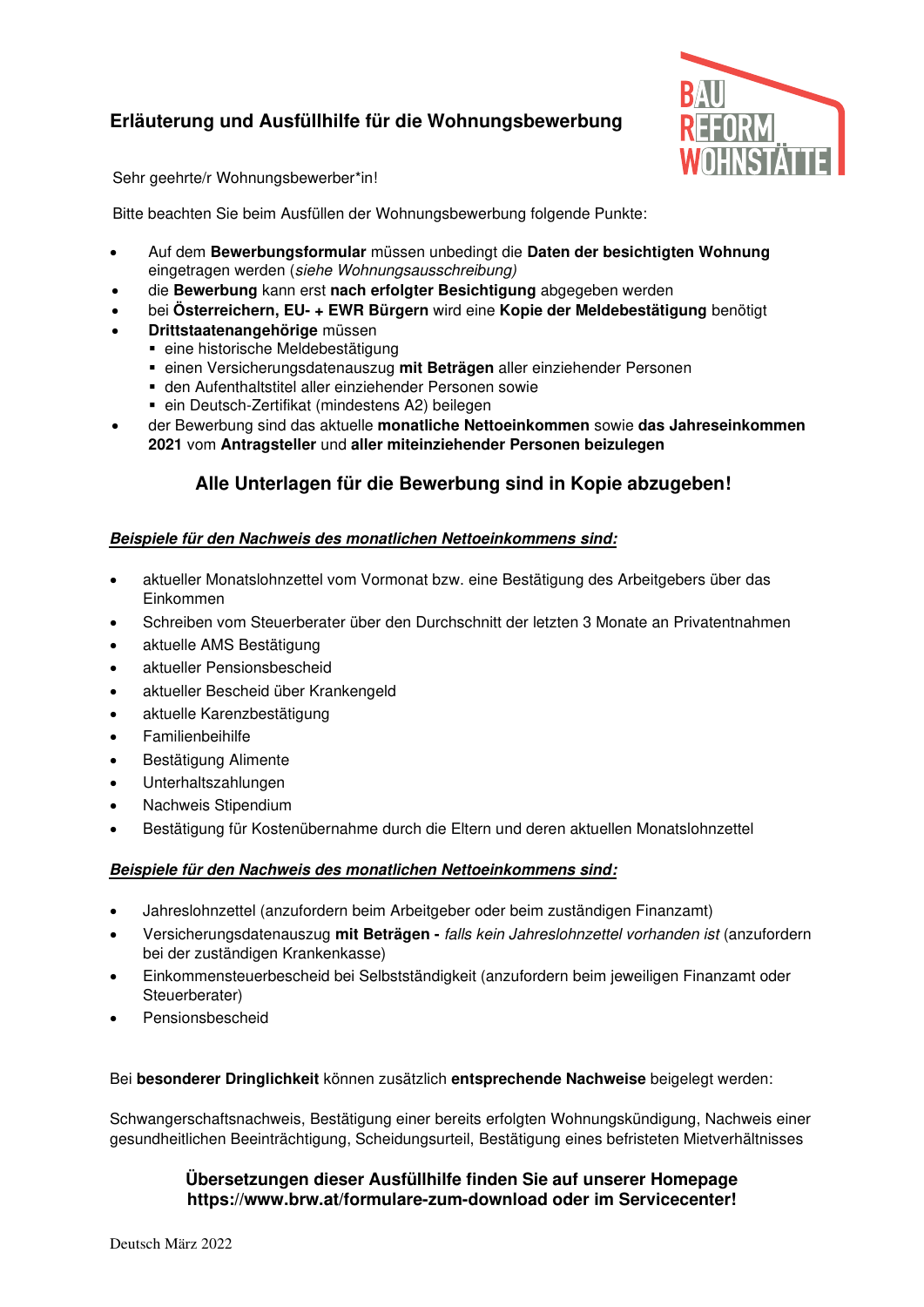# **Erläuterung und Ausfüllhilfe für die Wohnungsbewerbung**



Sehr geehrte/r Wohnungsbewerber\*in!

Bitte beachten Sie beim Ausfüllen der Wohnungsbewerbung folgende Punkte:

- Auf dem **Bewerbungsformular** müssen unbedingt die **Daten der besichtigten Wohnung** eingetragen werden (siehe Wohnungsausschreibung)
- die **Bewerbung** kann erst **nach erfolgter Besichtigung** abgegeben werden
- bei **Österreichern, EU- + EWR Bürgern** wird eine **Kopie der Meldebestätigung** benötigt
- **Drittstaatenangehörige** müssen
	- eine historische Meldebestätigung
	- einen Versicherungsdatenauszug **mit Beträgen** aller einziehender Personen
	- den Aufenthaltstitel aller einziehender Personen sowie
	- ein Deutsch-Zertifikat (mindestens A2) beilegen
- der Bewerbung sind das aktuelle **monatliche Nettoeinkommen** sowie **das Jahreseinkommen 2021** vom **Antragsteller** und **aller miteinziehender Personen beizulegen**

## **Alle Unterlagen für die Bewerbung sind in Kopie abzugeben!**

### **Beispiele für den Nachweis des monatlichen Nettoeinkommens sind:**

- aktueller Monatslohnzettel vom Vormonat bzw. eine Bestätigung des Arbeitgebers über das Einkommen
- Schreiben vom Steuerberater über den Durchschnitt der letzten 3 Monate an Privatentnahmen
- aktuelle AMS Bestätigung
- aktueller Pensionsbescheid
- aktueller Bescheid über Krankengeld
- aktuelle Karenzbestätigung
- **Familienbeihilfe**
- Bestätigung Alimente
- Unterhaltszahlungen
- Nachweis Stipendium
- Bestätigung für Kostenübernahme durch die Eltern und deren aktuellen Monatslohnzettel

### **Beispiele für den Nachweis des monatlichen Nettoeinkommens sind:**

- Jahreslohnzettel (anzufordern beim Arbeitgeber oder beim zuständigen Finanzamt)
- Versicherungsdatenauszug **mit Beträgen** falls kein Jahreslohnzettel vorhanden ist (anzufordern bei der zuständigen Krankenkasse)
- Einkommensteuerbescheid bei Selbstständigkeit (anzufordern beim jeweiligen Finanzamt oder Steuerberater)
- Pensionsbescheid

### Bei **besonderer Dringlichkeit** können zusätzlich **entsprechende Nachweise** beigelegt werden:

Schwangerschaftsnachweis, Bestätigung einer bereits erfolgten Wohnungskündigung, Nachweis einer gesundheitlichen Beeinträchtigung, Scheidungsurteil, Bestätigung eines befristeten Mietverhältnisses

## **Übersetzungen dieser Ausfüllhilfe finden Sie auf unserer Homepage https://www.brw.at/formulare-zum-download oder im Servicecenter!**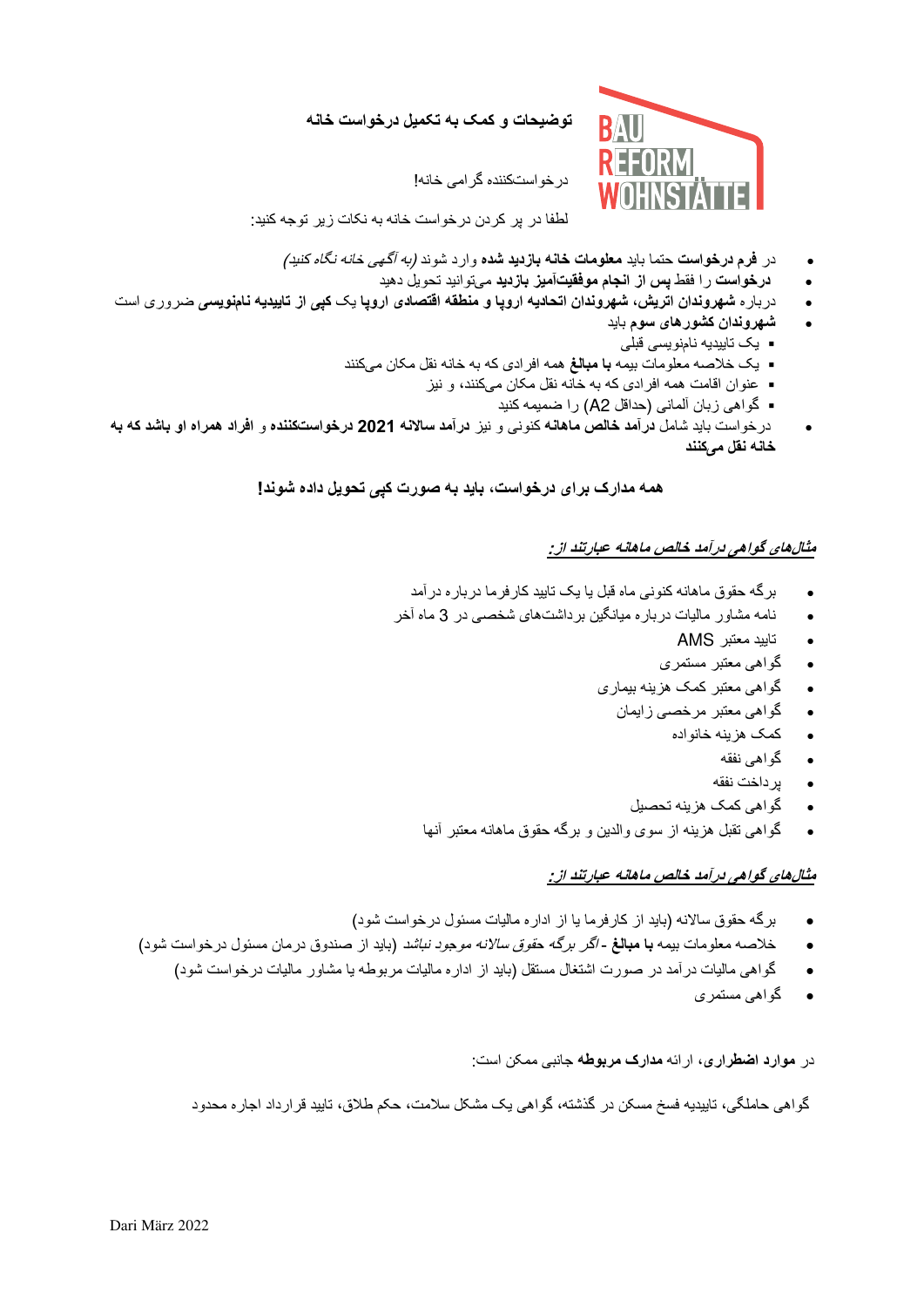**توضیحات و کمک به تکمیل درخواست خانه**



کننده گرامی خانه! درخواست

لطفا در پر کردن درخواست خانه به نکات زیر توجه کنید:

- در **فرم درخواست** حتما باید **معلومات خانه بازدید شده** وارد شوند )به آگهی خانه نگاه کنید(
	- **درخواست** را فقط **بازدیدآمیز پس از انجام موفقیت** توانید تحویل دهید می
- درباره **شهروندان اتریش، شهروندان اتحادیه اروپا و منطقه اقتصادی اروپا** یک **نویسیکپی از تاییدیه نام** ضروری است
	- **شهروندان کشورهای سوم** باید
	- یک تاییدیه نامزو یسی قبلی
	- یک خالصه معلومات بیمه **با مبالغ** کنند همه افرادی که به خانه نقل مکان می
		- عنوان اقامت همه افرادی که به خانه نقل مکان میکنند، و نیز
			- گواهی زبان آلمانی )حداقل 2A ) را ضمیمه کنید
- درخواست باید شامل **ماهانه درآمد خالص** کنونی و نیز **درآمد ساالنه 2021 کننده درخواست** و **افراد همراه او باشد که به کنند خانه نقل می**

 **همه مدارک برای درخواست، باید به صورت کپی تحویل داده شوند!** 

## **های گواهی درآمد خالص ماهانه عبارتند از: مثال**

- برگه حقوق ماهانه کنونی ماه قبل یا یک تایید کارفرما درباره درآمد
- ماه آخر 3های شخصی در نامه مشاور مالیات درباره میانگین برداشت
	- تایید معتبر AMS
	- گواهی معتبر مستمری
	- گواهی معتبر کمک هزینه بیماری
		- گواهی معتبر مرخصی زایمان
			- کمک هزینه خانواده
				- گواهی نفقه
				- پرداخت نفقه
			- گواهی کمک هزینه تحصیل
	- گواهی تقبل هزینه از سوی والدین و برگه حقوق ماهانه معتبر آنها

## **های گواهی درآمد خالص ماهانه عبارتند از: مثال**

- برگه حقوق ساالنه )باید از کارفرما یا از اداره مالیات مسئول درخواست شود(
- خالصه معلومات بیمه **با مبالغ**  اگر برگه حقوق ساالنه موجود نباشد )باید از صندوق درمان مسئول درخواست شود(
	- گواهی مالیات در آمد در صورت اشتغال مستقل (باید از اداره مالیات مربوطه یا مشاور مالیات درخواست شود)
		- گواهی مستمری

در **موارد اضطراری**، ارائه **مدارک مربوطه** جانبی ممکن است:

گواهی حاملگی، تاییدیه فسخ مسکن در گذشته، گواهی یک مشکل سلامت، حکم طلاق، تایید قرارداد اجاره محدود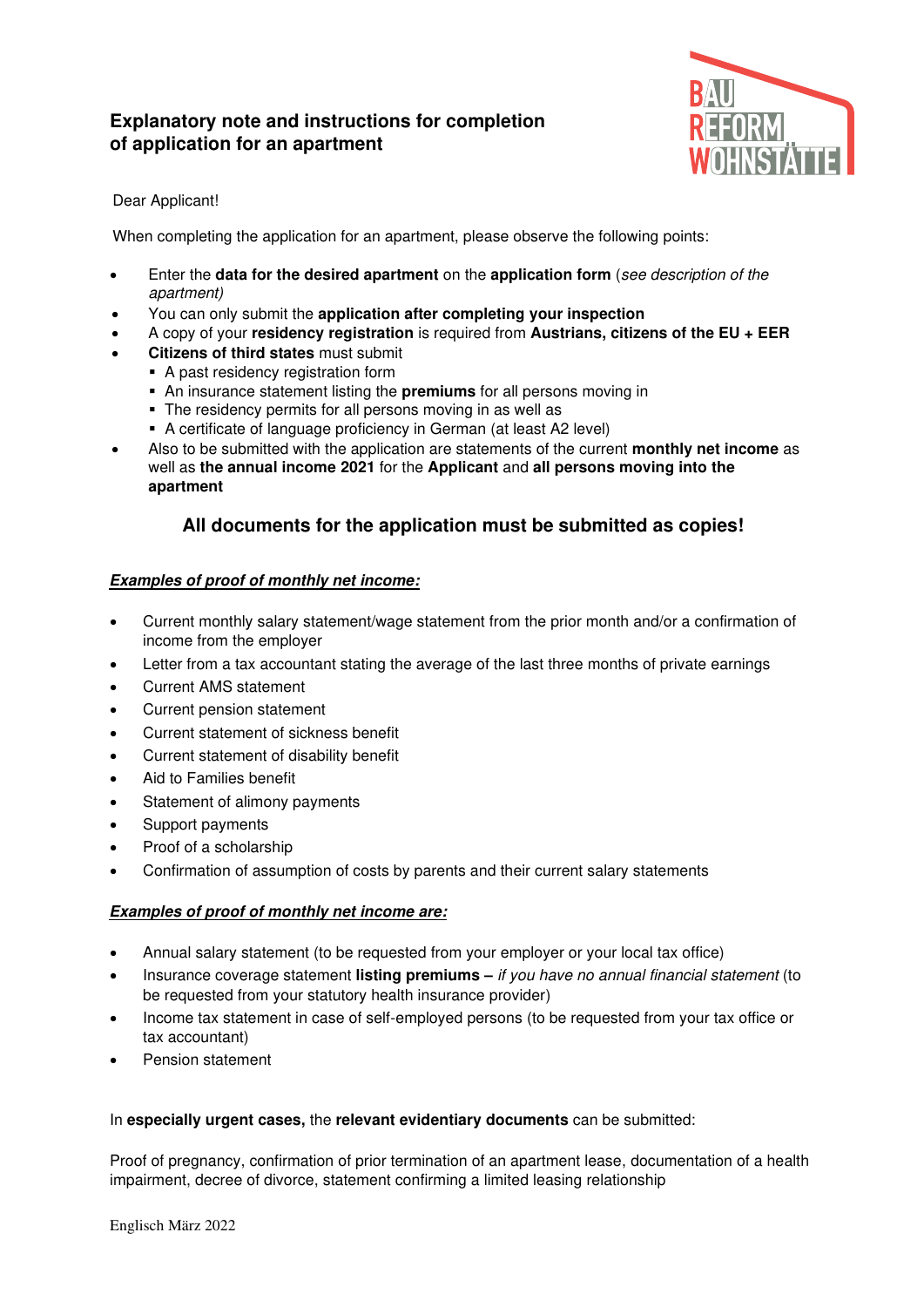# **Explanatory note and instructions for completion of application for an apartment**



## Dear Applicant!

When completing the application for an apartment, please observe the following points:

- Enter the **data for the desired apartment** on the **application form** (see description of the apartment)
- You can only submit the **application after completing your inspection**
- A copy of your **residency registration** is required from **Austrians, citizens of the EU + EER**
- **Citizens of third states** must submit
	- A past residency registration form
		- An insurance statement listing the **premiums** for all persons moving in
		- The residency permits for all persons moving in as well as
	- A certificate of language proficiency in German (at least A2 level)
- Also to be submitted with the application are statements of the current **monthly net income** as well as **the annual income 2021** for the **Applicant** and **all persons moving into the apartment**

## **All documents for the application must be submitted as copies!**

## **Examples of proof of monthly net income:**

- Current monthly salary statement/wage statement from the prior month and/or a confirmation of income from the employer
- Letter from a tax accountant stating the average of the last three months of private earnings
- Current AMS statement
- Current pension statement
- Current statement of sickness benefit
- Current statement of disability benefit
- Aid to Families benefit
- Statement of alimony payments
- Support payments
- Proof of a scholarship
- Confirmation of assumption of costs by parents and their current salary statements

### **Examples of proof of monthly net income are:**

- Annual salary statement (to be requested from your employer or your local tax office)
- Insurance coverage statement **listing premiums –** if you have no annual financial statement (to be requested from your statutory health insurance provider)
- Income tax statement in case of self-employed persons (to be requested from your tax office or tax accountant)
- Pension statement

### In **especially urgent cases,** the **relevant evidentiary documents** can be submitted:

Proof of pregnancy, confirmation of prior termination of an apartment lease, documentation of a health impairment, decree of divorce, statement confirming a limited leasing relationship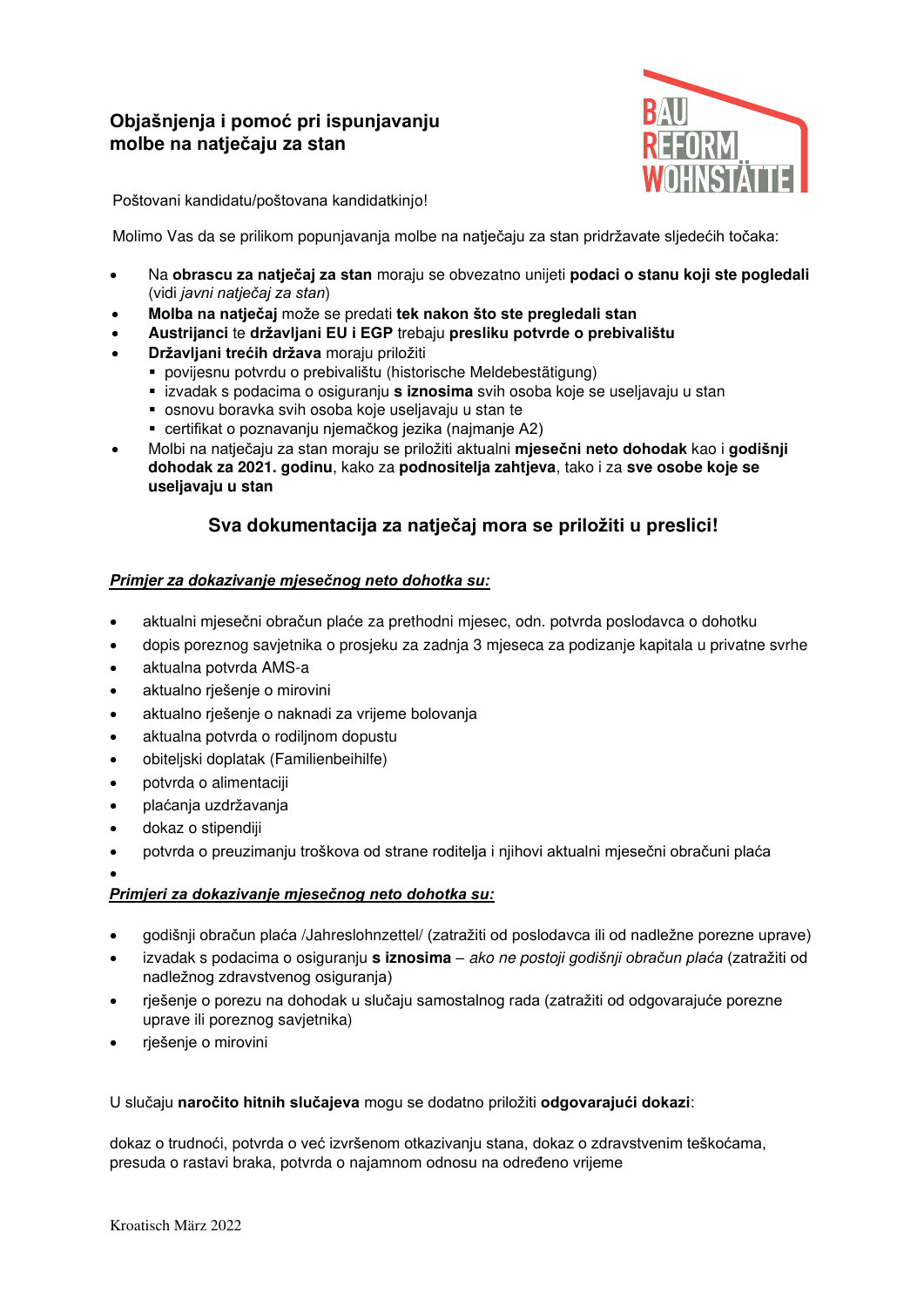# **Objašnjenja i pomoć pri ispunjavanju molbe na natječaju za stan**



Poštovani kandidatu/poštovana kandidatkinjo!

Molimo Vas da se prilikom popunjavanja molbe na natječaju za stan pridržavate sljedećih točaka:

- Na **obrascu za natječaj za stan** moraju se obvezatno unijeti **podaci o stanu koji ste pogledali** (vidi *javni natječaj za stan*)
- **Molba na natječaj** može se predati **tek nakon što ste pregledali stan**
- **Austrijanci** te **državljani EU i EGP** trebaju **presliku potvrde o prebivalištu**
- **Državljani trećih država** moraju priložiti
	- povijesnu potvrdu o prebivalištu (historische Meldebestätigung)
	- izvadak s podacima o osiguranju **s iznosima** svih osoba koje se useljavaju u stan
	- osnovu boravka svih osoba koje useljavaju u stan te
	- certifikat o poznavanju njemačkog jezika (najmanje A2)
- Molbi na natječaju za stan moraju se priložiti aktualni **mjesečni neto dohodak** kao i **godišnji dohodak za 2021. godinu**, kako za **podnositelja zahtjeva**, tako i za **sve osobe koje se useljavaju u stan**

## **Sva dokumentacija za natječaj mora se priložiti u preslici!**

## **Primjer za dokazi***vanje mjesečnog neto dohotka su:*

- aktualni mjesečni obračun plaće za prethodni mjesec, odn. potvrda poslodavca o dohotku
- dopis poreznog savjetnika o prosjeku za zadnja 3 mjeseca za podizanje kapitala u privatne svrhe
- aktualna potvrda AMS-a
- aktualno rješenje o mirovini
- aktualno rješenje o naknadi za vrijeme bolovanja
- aktualna potvrda o rodiljnom dopustu
- obiteljski doplatak (Familienbeihilfe)
- potvrda o alimentaciji
- plaćanja uzdržavanja
- dokaz o stipendiji
- potvrda o preuzimanju troškova od strane roditelja i njihovi aktualni mjesečni obračuni plaća

•

## *Primjeri za dokazivanje mjesečnog neto dohotka su:*

- godišnji obračun plaća /Jahreslohnzettel/ (zatražiti od poslodavca ili od nadležne porezne uprave)
- izvadak s podacima o osiguranju **s iznosima** ako ne posto*ji godišnji obračun plaća* (zatražiti od nadležnog zdravstvenog osiguranja)
- rješenje o porezu na dohodak u slučaju samostalnog rada (zatražiti od odgovarajuće porezne uprave ili poreznog savjetnika)
- rješenje o mirovini

## U slučaju **naročito hitnih slučajeva** mogu se dodatno priložiti **odgovarajući dokazi**:

dokaz o trudnoći, potvrda o već izvršenom otkazivanju stana, dokaz o zdravstvenim teškoćama, presuda o rastavi braka, potvrda o najamnom odnosu na određeno vrijeme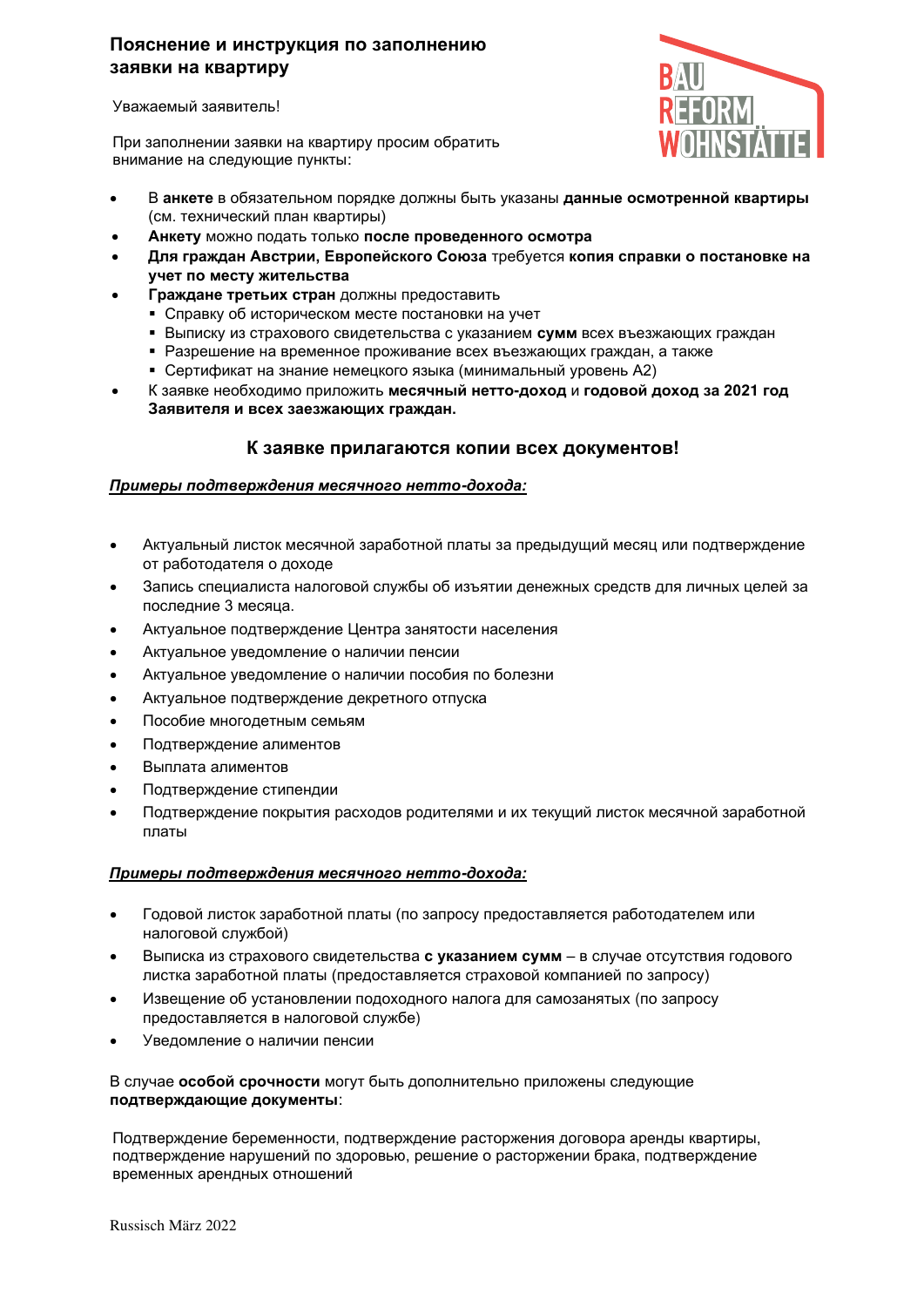## **Пояснение и инструкция по заполнению заявки на квартиру**

Уважаемый заявитель!

При заполнении заявки на квартиру просим обратить внимание на следующие пункты:



- В **анкете** в обязательном порядке должны быть указаны **данные осмотренной квартиры** (см. технический план квартиры)
- **Анкету** можно подать только **после проведенного осмотра**
- **Для граждан Австрии, Европейского Союза** требуется **копия справки о постановке на учет по месту жительства**
- **Граждане третьих стран** должны предоставить
	- **Справку об историческом месте постановки на учет**
	- **Выписку из страхового свидетельства с указанием сумм всех въезжающих граждан**
	- Разрешение на временное проживание всех въезжающих граждан, а также
	- Сертификат на знание немецкого языка (минимальный уровень А2)
- К заявке необходимо приложить **месячный нетто-доход** и **годовой доход за 2021 год Заявителя и всех заезжающих граждан.**

## **К заявке прилагаются копии всех документов!**

### *Примеры подтверждения месячного нетто***-***дохода:*

- Актуальный листок месячной заработной платы за предыдущий месяц или подтверждение от работодателя о доходе
- Запись специалиста налоговой службы об изъятии денежных средств для личных целей за последние 3 месяца.
- Актуальное подтверждение Центра занятости населения
- Актуальное уведомление о наличии пенсии
- Актуальное уведомление о наличии пособия по болезни
- Актуальное подтверждение декретного отпуска
- Пособие многодетным семьям
- Подтверждение алиментов
- Выплата алиментов
- Подтверждение стипендии
- Подтверждение покрытия расходов родителями и их текущий листок месячной заработной платы

#### *Примеры подтверждения месячного нетто***-***дохода:*

- Годовой листок заработной платы (по запросу предоставляется работодателем или налоговой службой)
- Выписка из страхового свидетельства **с указанием сумм** в случае отсутствия годового листка заработной платы (предоставляется страховой компанией по запросу)
- Извещение об установлении подоходного налога для самозанятых (по запросу предоставляется в налоговой службе)
- Уведомление о наличии пенсии

В случае **особой срочности** могут быть дополнительно приложены следующие **подтверждающие документы**:

Подтверждение беременности, подтверждение расторжения договора аренды квартиры, подтверждение нарушений по здоровью, решение о расторжении брака, подтверждение временных арендных отношений